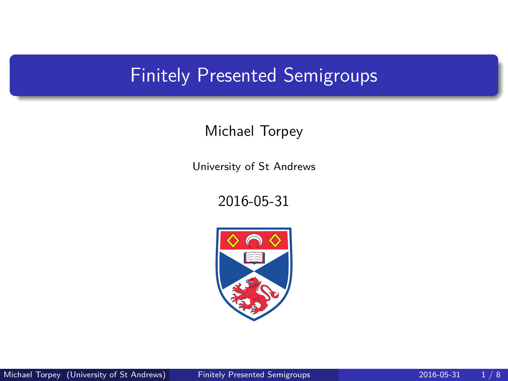# <span id="page-0-0"></span>Finitely Presented Semigroups

## Michael Torpey

University of St Andrews

2016-05-31

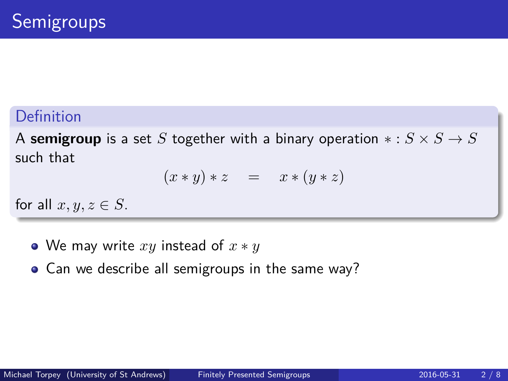## Definition

A **semigroup** is a set *S* together with a binary operation  $* : S \times S \rightarrow S$ such that

$$
(x * y) * z = x * (y * z)
$$

for all  $x, y, z \in S$ .

- We may write *xy* instead of *x* ∗ *y*
- Can we describe all semigroups in the same way?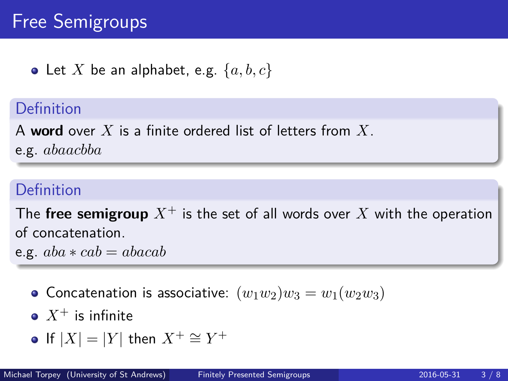# Free Semigroups

• Let X be an alphabet, e.g.  $\{a, b, c\}$ 

## Definition

A **word** over *X* is a finite ordered list of letters from *X*.

e.g. *abaacbba*

## Definition

The **free semigroup**  $X^+$  is the set of all words over X with the operation of concatenation.

e.g.  $aba * cab = abacab$ 

- Concatenation is associative:  $(w_1w_2)w_3 = w_1(w_2w_3)$
- $\bullet$   $X^+$  is infinite

• If 
$$
|X| = |Y|
$$
 then  $X^+ \cong Y^+$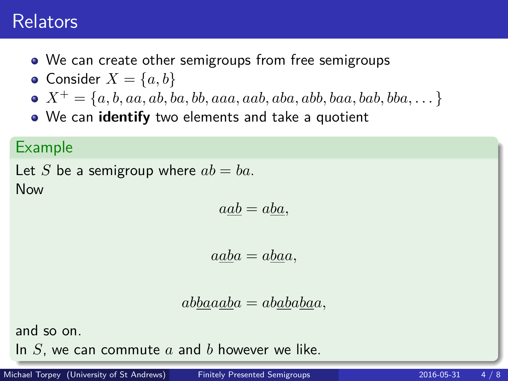# Relators

- We can create other semigroups from free semigroups
- Consider  $X = \{a, b\}$
- $X^+ = \{a, b, aa, ab, ba, bb, aaa, aab, aba, abb, baa, bab, bba, ... \}$
- We can **identify** two elements and take a quotient

#### Example

```
Let S be a semigroup where ab = ba.
Now
```

$$
a\underline{ab} = ab\underline{a},
$$

$$
a\underline{a}\underline{b}a = a\underline{b}\underline{a}a,
$$

$$
ab\underline{ba}a\underline{ab}a = ab\underline{ab}a\underline{ba}a,
$$

and so on.

In *S*, we can commute *a* and *b* however we like.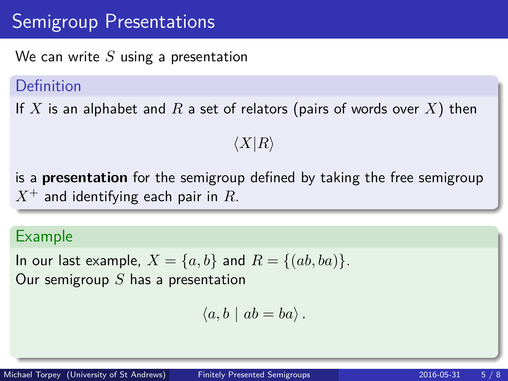# Semigroup Presentations

We can write *S* using a presentation

#### Definition

If *X* is an alphabet and *R* a set of relators (pairs of words over *X*) then

 $\langle X|R\rangle$ 

is a **presentation** for the semigroup defined by taking the free semigroup *X*<sup>+</sup> and identifying each pair in *R*.

#### Example

In our last example,  $X = \{a, b\}$  and  $R = \{(ab, ba)\}.$ Our semigroup *S* has a presentation

$$
\langle a, b \mid ab = ba \rangle.
$$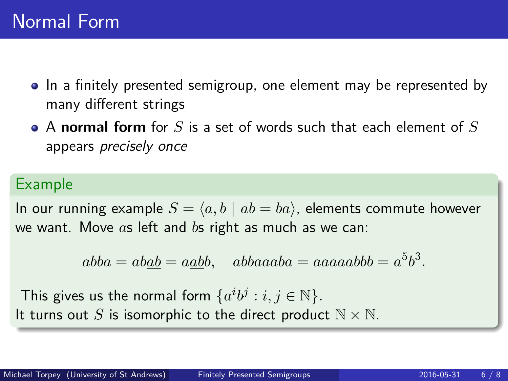- In a finitely presented semigroup, one element may be represented by many different strings
- A **normal form** for *S* is a set of words such that each element of *S* appears precisely once

#### Example

In our running example  $S = \langle a, b \mid ab = ba \rangle$ , elements commute however we want. Move *a*s left and *b*s right as much as we can:

 $abba = ab\underline{ab} = a\underline{ab}b$ ,  $abbaaaba = aaaaabbb = a^5b^3$ .

This gives us the normal form  $\{a^i b^j : i, j \in \mathbb{N}\}.$ It turns out *S* is isomorphic to the direct product  $N \times N$ .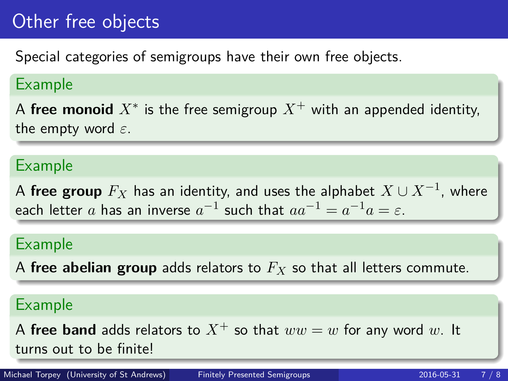# Other free objects

Special categories of semigroups have their own free objects.

#### Example

 ${\sf A}$  **free monoid**  $X^*$  is the free semigroup  $X^+$  with an appended identity, the empty word *ε*.

#### Example

 ${\mathsf A}$  **free group**  $F_X$  has an identity, and uses the alphabet  $X\cup X^{-1}$ , where each letter  $a$  has an inverse  $a^{-1}$  such that  $aa^{-1} = a^{-1}a = \varepsilon.$ 

## Example

A **free abelian group** adds relators to *F<sup>X</sup>* so that all letters commute.

#### Example

A **free band** adds relators to  $X^+$  so that  $ww = w$  for any word w. It turns out to be finite!